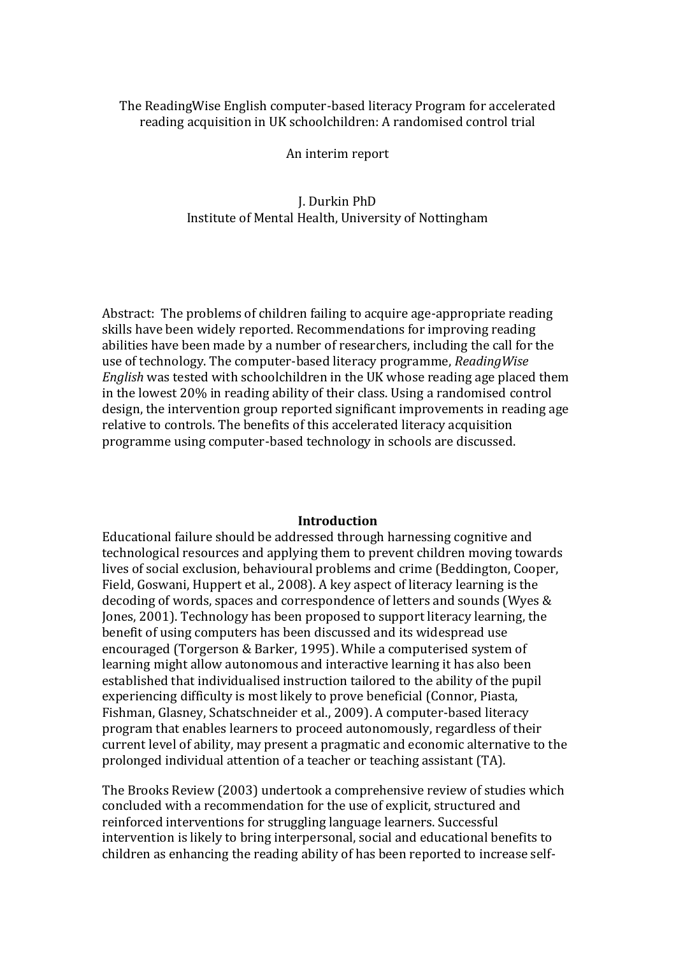## The ReadingWise English computer-based literacy Program for accelerated reading acquisition in UK schoolchildren: A randomised control trial

#### An interim report

# J. Durkin PhD Institute of Mental Health, University of Nottingham

Abstract: The problems of children failing to acquire age-appropriate reading skills have been widely reported. Recommendations for improving reading abilities have been made by a number of researchers, including the call for the use of technology. The computer-based literacy programme, *ReadingWise English* was tested with schoolchildren in the UK whose reading age placed them in the lowest 20% in reading ability of their class. Using a randomised control design, the intervention group reported significant improvements in reading age relative to controls. The benefits of this accelerated literacy acquisition programme using computer-based technology in schools are discussed.

## **Introduction**

Educational failure should be addressed through harnessing cognitive and technological resources and applying them to prevent children moving towards lives of social exclusion, behavioural problems and crime (Beddington, Cooper, Field, Goswani, Huppert et al., 2008). A key aspect of literacy learning is the decoding of words, spaces and correspondence of letters and sounds (Wyes & Jones, 2001). Technology has been proposed to support literacy learning, the benefit of using computers has been discussed and its widespread use encouraged (Torgerson & Barker, 1995). While a computerised system of learning might allow autonomous and interactive learning it has also been established that individualised instruction tailored to the ability of the pupil experiencing difficulty is most likely to prove beneficial (Connor, Piasta, Fishman, Glasney, Schatschneider et al., 2009). A computer-based literacy program that enables learners to proceed autonomously, regardless of their current level of ability, may present a pragmatic and economic alternative to the prolonged individual attention of a teacher or teaching assistant (TA).

The Brooks Review (2003) undertook a comprehensive review of studies which concluded with a recommendation for the use of explicit, structured and reinforced interventions for struggling language learners. Successful intervention is likely to bring interpersonal, social and educational benefits to children as enhancing the reading ability of has been reported to increase self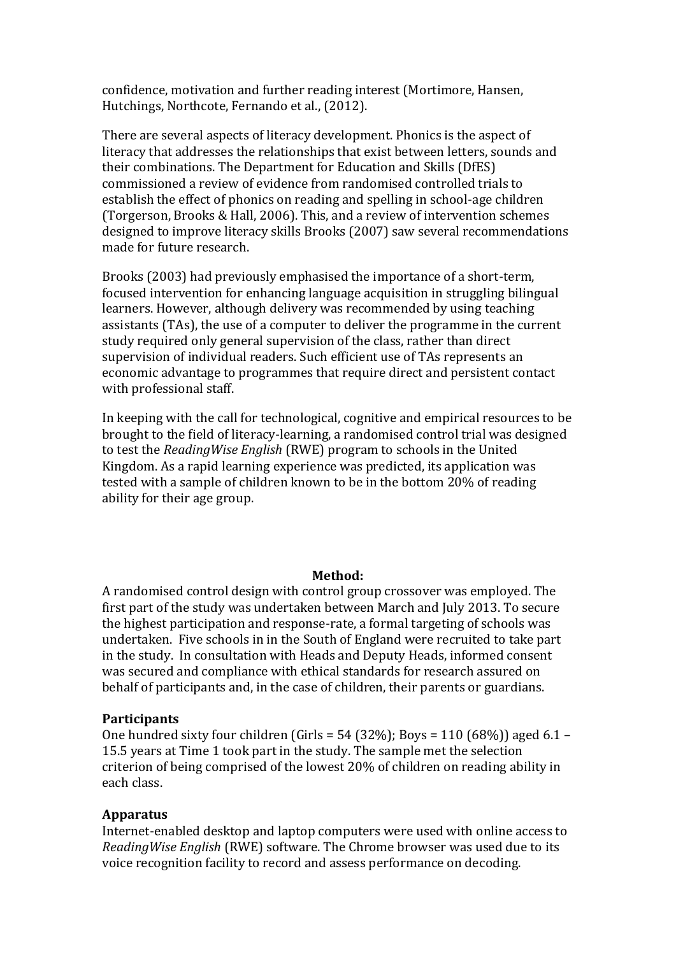confidence, motivation and further reading interest (Mortimore, Hansen, Hutchings, Northcote, Fernando et al., (2012).

There are several aspects of literacy development. Phonics is the aspect of literacy that addresses the relationships that exist between letters, sounds and their combinations. The Department for Education and Skills (DfES) commissioned a review of evidence from randomised controlled trials to establish the effect of phonics on reading and spelling in school-age children (Torgerson, Brooks & Hall, 2006). This, and a review of intervention schemes designed to improve literacy skills Brooks (2007) saw several recommendations made for future research.

Brooks (2003) had previously emphasised the importance of a short-term, focused intervention for enhancing language acquisition in struggling bilingual learners. However, although delivery was recommended by using teaching assistants (TAs), the use of a computer to deliver the programme in the current study required only general supervision of the class, rather than direct supervision of individual readers. Such efficient use of TAs represents an economic advantage to programmes that require direct and persistent contact with professional staff.

In keeping with the call for technological, cognitive and empirical resources to be brought to the field of literacy-learning, a randomised control trial was designed to test the *ReadingWise English* (RWE) program to schools in the United Kingdom. As a rapid learning experience was predicted, its application was tested with a sample of children known to be in the bottom 20% of reading ability for their age group.

#### **Method:**

A randomised control design with control group crossover was employed. The first part of the study was undertaken between March and July 2013. To secure the highest participation and response-rate, a formal targeting of schools was undertaken. Five schools in in the South of England were recruited to take part in the study. In consultation with Heads and Deputy Heads, informed consent was secured and compliance with ethical standards for research assured on behalf of participants and, in the case of children, their parents or guardians.

#### **Participants**

One hundred sixty four children (Girls =  $54$  (32%); Boys = 110 (68%)) aged 6.1 – 15.5 years at Time 1 took part in the study. The sample met the selection criterion of being comprised of the lowest 20% of children on reading ability in each class.

## **Apparatus**

Internet-enabled desktop and laptop computers were used with online access to *ReadingWise English* (RWE) software. The Chrome browser was used due to its voice recognition facility to record and assess performance on decoding.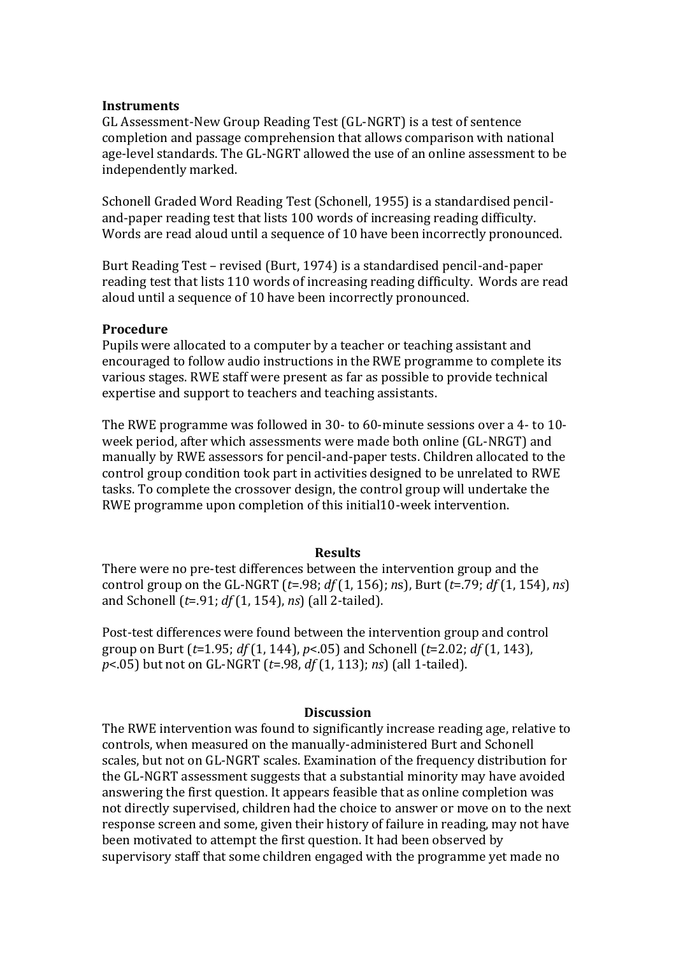### **Instruments**

GL Assessment-New Group Reading Test (GL-NGRT) is a test of sentence completion and passage comprehension that allows comparison with national age-level standards. The GL-NGRT allowed the use of an online assessment to be independently marked.

Schonell Graded Word Reading Test (Schonell, 1955) is a standardised penciland-paper reading test that lists 100 words of increasing reading difficulty. Words are read aloud until a sequence of 10 have been incorrectly pronounced.

Burt Reading Test – revised (Burt, 1974) is a standardised pencil-and-paper reading test that lists 110 words of increasing reading difficulty. Words are read aloud until a sequence of 10 have been incorrectly pronounced.

### **Procedure**

Pupils were allocated to a computer by a teacher or teaching assistant and encouraged to follow audio instructions in the RWE programme to complete its various stages. RWE staff were present as far as possible to provide technical expertise and support to teachers and teaching assistants.

The RWE programme was followed in 30- to 60-minute sessions over a 4- to 10 week period, after which assessments were made both online (GL-NRGT) and manually by RWE assessors for pencil-and-paper tests. Children allocated to the control group condition took part in activities designed to be unrelated to RWE tasks. To complete the crossover design, the control group will undertake the RWE programme upon completion of this initial10-week intervention.

### **Results**

There were no pre-test differences between the intervention group and the control group on the GL-NGRT (*t*=.98; *df* (1, 156); *n*s), Burt (*t*=.79; *df* (1, 154), *ns*) and Schonell (*t*=.91; *df* (1, 154), *ns*) (all 2-tailed).

Post-test differences were found between the intervention group and control group on Burt (*t*=1.95; *df* (1, 144), *p*<.05) and Schonell (*t*=2.02; *df* (1, 143), *p*<.05) but not on GL-NGRT (*t*=.98, *df* (1, 113); *ns*) (all 1-tailed).

#### **Discussion**

The RWE intervention was found to significantly increase reading age, relative to controls, when measured on the manually-administered Burt and Schonell scales, but not on GL-NGRT scales. Examination of the frequency distribution for the GL-NGRT assessment suggests that a substantial minority may have avoided answering the first question. It appears feasible that as online completion was not directly supervised, children had the choice to answer or move on to the next response screen and some, given their history of failure in reading, may not have been motivated to attempt the first question. It had been observed by supervisory staff that some children engaged with the programme yet made no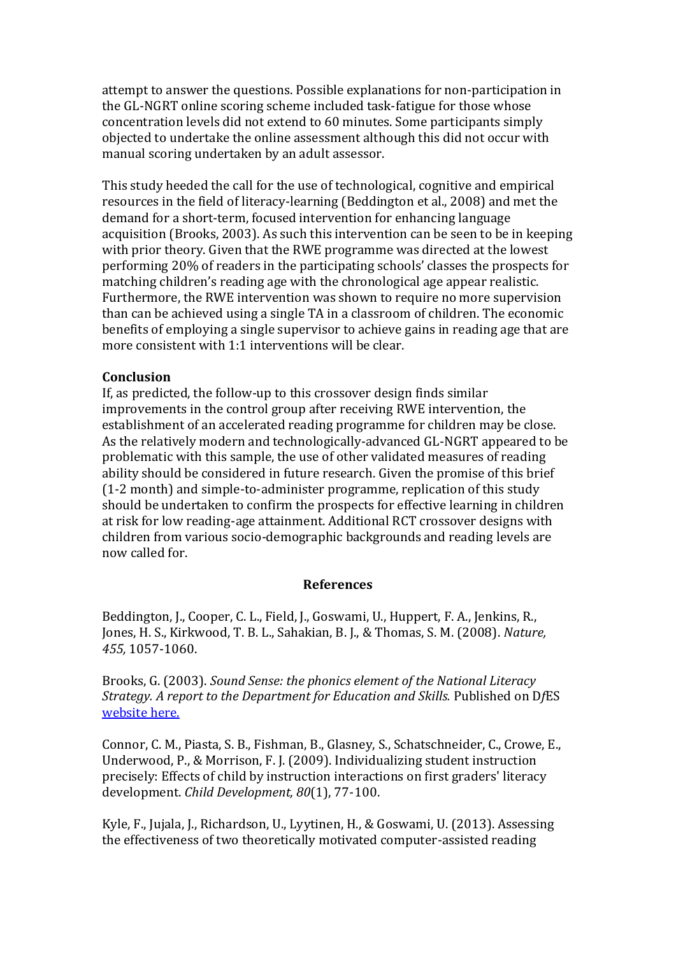attempt to answer the questions. Possible explanations for non-participation in the GL-NGRT online scoring scheme included task-fatigue for those whose concentration levels did not extend to 60 minutes. Some participants simply objected to undertake the online assessment although this did not occur with manual scoring undertaken by an adult assessor.

This study heeded the call for the use of technological, cognitive and empirical resources in the field of literacy-learning (Beddington et al., 2008) and met the demand for a short-term, focused intervention for enhancing language acquisition (Brooks, 2003). As such this intervention can be seen to be in keeping with prior theory. Given that the RWE programme was directed at the lowest performing 20% of readers in the participating schools' classes the prospects for matching children's reading age with the chronological age appear realistic. Furthermore, the RWE intervention was shown to require no more supervision than can be achieved using a single TA in a classroom of children. The economic benefits of employing a single supervisor to achieve gains in reading age that are more consistent with 1:1 interventions will be clear.

## **Conclusion**

If, as predicted, the follow-up to this crossover design finds similar improvements in the control group after receiving RWE intervention, the establishment of an accelerated reading programme for children may be close. As the relatively modern and technologically-advanced GL-NGRT appeared to be problematic with this sample, the use of other validated measures of reading ability should be considered in future research. Given the promise of this brief (1-2 month) and simple-to-administer programme, replication of this study should be undertaken to confirm the prospects for effective learning in children at risk for low reading-age attainment. Additional RCT crossover designs with children from various socio-demographic backgrounds and reading levels are now called for.

### **References**

Beddington, J., Cooper, C. L., Field, J., Goswami, U., Huppert, F. A., Jenkins, R., Jones, H. S., Kirkwood, T. B. L., Sahakian, B. J., & Thomas, S. M. (2008). *Nature, 455,* 1057-1060.

Brooks, G. (2003). *Sound Sense: the phonics element of the National Literacy Strategy. A report to the Department for Education and Skills.* Published on D*f*ES [website here.](http://www.standards.dfes.gov.uk/pdf/literacy/gbrooks_phonics.pdf)

Connor, C. M., Piasta, S. B., Fishman, B., Glasney, S., Schatschneider, C., Crowe, E., Underwood, P., & Morrison, F. J. (2009). Individualizing student instruction precisely: Effects of child by instruction interactions on first graders' literacy development. *Child Development, 80*(1), 77-100.

Kyle, F., Jujala, J., Richardson, U., Lyytinen, H., & Goswami, U. (2013). Assessing the effectiveness of two theoretically motivated computer-assisted reading